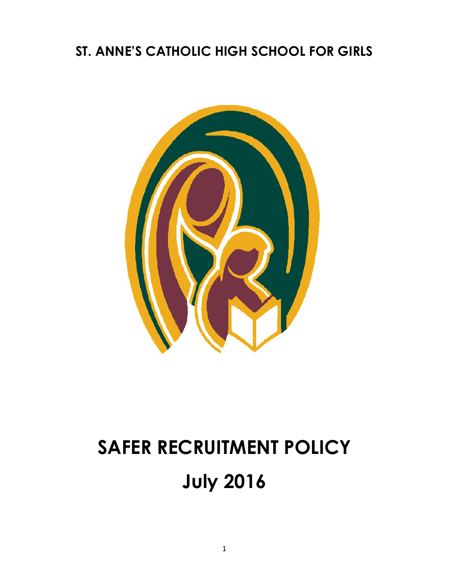## **ST. ANNE'S CATHOLIC HIGH SCHOOL FOR GIRLS**



# **SAFER RECRUITMENT POLICY July 2016**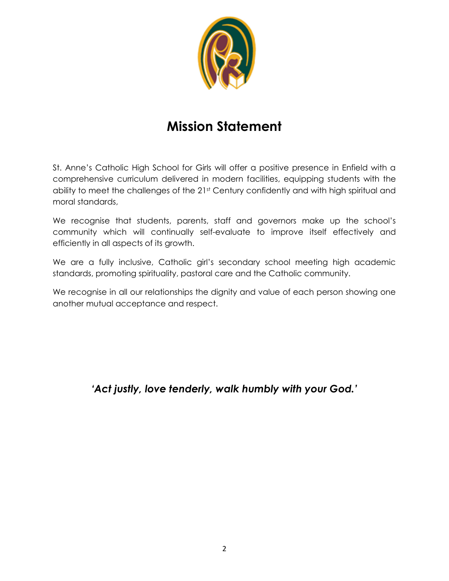

## **Mission Statement**

St. Anne's Catholic High School for Girls will offer a positive presence in Enfield with a comprehensive curriculum delivered in modern facilities, equipping students with the ability to meet the challenges of the 21st Century confidently and with high spiritual and moral standards,

We recognise that students, parents, staff and governors make up the school's community which will continually self-evaluate to improve itself effectively and efficiently in all aspects of its growth.

We are a fully inclusive, Catholic girl's secondary school meeting high academic standards, promoting spirituality, pastoral care and the Catholic community.

We recognise in all our relationships the dignity and value of each person showing one another mutual acceptance and respect.

*'Act justly, love tenderly, walk humbly with your God.'*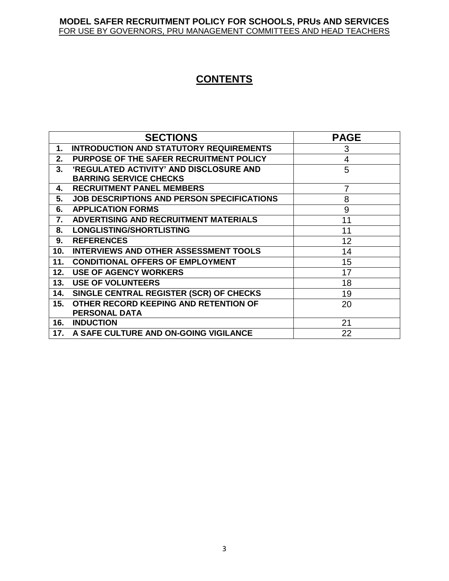#### **MODEL SAFER RECRUITMENT POLICY FOR SCHOOLS, PRUs AND SERVICES** FOR USE BY GOVERNORS, PRU MANAGEMENT COMMITTEES AND HEAD TEACHERS

### **CONTENTS**

|     | <b>SECTIONS</b>                                   | <b>PAGE</b>    |
|-----|---------------------------------------------------|----------------|
| 1.  | <b>INTRODUCTION AND STATUTORY REQUIREMENTS</b>    | 3              |
| 2.  | PURPOSE OF THE SAFER RECRUITMENT POLICY           | $\overline{4}$ |
| 3.  | 'REGULATED ACTIVITY' AND DISCLOSURE AND           | 5              |
|     | <b>BARRING SERVICE CHECKS</b>                     |                |
| 4.  | <b>RECRUITMENT PANEL MEMBERS</b>                  | 7              |
| 5.  | <b>JOB DESCRIPTIONS AND PERSON SPECIFICATIONS</b> | 8              |
| 6.  | <b>APPLICATION FORMS</b>                          | 9              |
| 7.  | ADVERTISING AND RECRUITMENT MATERIALS             | 11             |
| 8.  | <b>LONGLISTING/SHORTLISTING</b>                   | 11             |
| 9.  | <b>REFERENCES</b>                                 | 12             |
| 10. | <b>INTERVIEWS AND OTHER ASSESSMENT TOOLS</b>      | 14             |
| 11. | <b>CONDITIONAL OFFERS OF EMPLOYMENT</b>           | 15             |
| 12. | <b>USE OF AGENCY WORKERS</b>                      | 17             |
| 13. | <b>USE OF VOLUNTEERS</b>                          | 18             |
| 14. | SINGLE CENTRAL REGISTER (SCR) OF CHECKS           | 19             |
| 15. | OTHER RECORD KEEPING AND RETENTION OF             | 20             |
|     | <b>PERSONAL DATA</b>                              |                |
| 16. | <b>INDUCTION</b>                                  | 21             |
|     | 17. A SAFE CULTURE AND ON-GOING VIGILANCE         | 22             |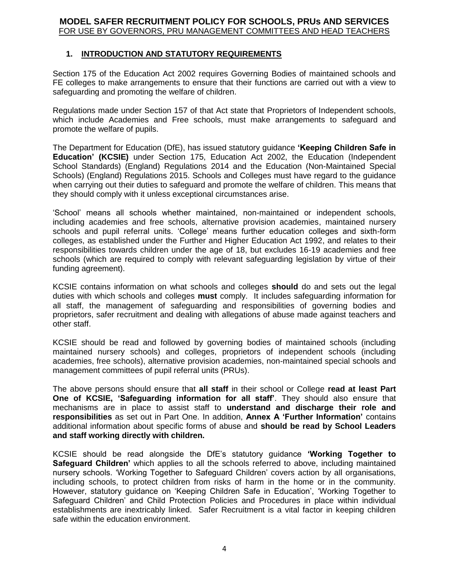#### **MODEL SAFER RECRUITMENT POLICY FOR SCHOOLS, PRUs AND SERVICES** FOR USE BY GOVERNORS, PRU MANAGEMENT COMMITTEES AND HEAD TEACHERS

#### **1. INTRODUCTION AND STATUTORY REQUIREMENTS**

Section 175 of the Education Act 2002 requires Governing Bodies of maintained schools and FE colleges to make arrangements to ensure that their functions are carried out with a view to safeguarding and promoting the welfare of children.

Regulations made under Section 157 of that Act state that Proprietors of Independent schools, which include Academies and Free schools, must make arrangements to safeguard and promote the welfare of pupils.

The Department for Education (DfE), has issued statutory guidance **'Keeping Children Safe in Education' (KCSIE)** under Section 175, Education Act 2002, the Education (Independent School Standards) (England) Regulations 2014 and the Education (Non-Maintained Special Schools) (England) Regulations 2015. Schools and Colleges must have regard to the guidance when carrying out their duties to safeguard and promote the welfare of children. This means that they should comply with it unless exceptional circumstances arise.

'School' means all schools whether maintained, non-maintained or independent schools, including academies and free schools, alternative provision academies, maintained nursery schools and pupil referral units. 'College' means further education colleges and sixth-form colleges, as established under the Further and Higher Education Act 1992, and relates to their responsibilities towards children under the age of 18, but excludes 16-19 academies and free schools (which are required to comply with relevant safeguarding legislation by virtue of their funding agreement).

KCSIE contains information on what schools and colleges **should** do and sets out the legal duties with which schools and colleges **must** comply. It includes safeguarding information for all staff, the management of safeguarding and responsibilities of governing bodies and proprietors, safer recruitment and dealing with allegations of abuse made against teachers and other staff.

KCSIE should be read and followed by governing bodies of maintained schools (including maintained nursery schools) and colleges, proprietors of independent schools (including academies, free schools), alternative provision academies, non-maintained special schools and management committees of pupil referral units (PRUs).

The above persons should ensure that **all staff** in their school or College **read at least Part One of KCSIE, 'Safeguarding information for all staff'**. They should also ensure that mechanisms are in place to assist staff to **understand and discharge their role and responsibilities** as set out in Part One. In addition, **Annex A 'Further Information'** contains additional information about specific forms of abuse and **should be read by School Leaders and staff working directly with children.**

KCSIE should be read alongside the DfE's statutory guidance **'Working Together to Safeguard Children'** which applies to all the schools referred to above, including maintained nursery schools. 'Working Together to Safeguard Children' covers action by all organisations, including schools, to protect children from risks of harm in the home or in the community. However, statutory guidance on 'Keeping Children Safe in Education', 'Working Together to Safeguard Children' and Child Protection Policies and Procedures in place within individual establishments are inextricably linked. Safer Recruitment is a vital factor in keeping children safe within the education environment.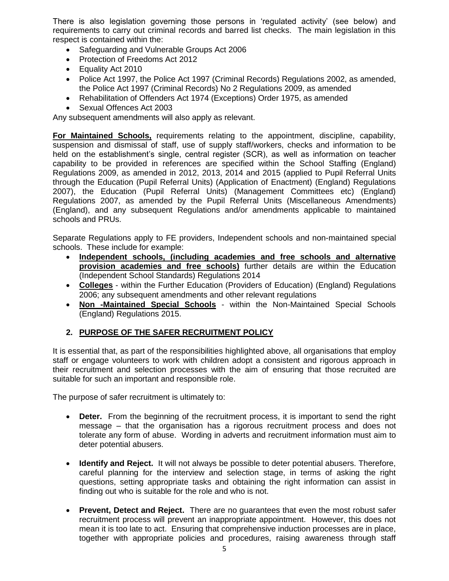There is also legislation governing those persons in 'regulated activity' (see below) and requirements to carry out criminal records and barred list checks. The main legislation in this respect is contained within the:

- Safeguarding and Vulnerable Groups Act 2006
- Protection of Freedoms Act 2012
- Equality Act 2010
- Police Act 1997, the Police Act 1997 (Criminal Records) Regulations 2002, as amended, the Police Act 1997 (Criminal Records) No 2 Regulations 2009, as amended
- Rehabilitation of Offenders Act 1974 (Exceptions) Order 1975, as amended
- Sexual Offences Act 2003

Any subsequent amendments will also apply as relevant.

**For Maintained Schools,** requirements relating to the appointment, discipline, capability, suspension and dismissal of staff, use of supply staff/workers, checks and information to be held on the establishment's single, central register (SCR), as well as information on teacher capability to be provided in references are specified within the School Staffing (England) Regulations 2009, as amended in 2012, 2013, 2014 and 2015 (applied to Pupil Referral Units through the Education (Pupil Referral Units) (Application of Enactment) (England) Regulations 2007), the Education (Pupil Referral Units) (Management Committees etc) (England) Regulations 2007, as amended by the Pupil Referral Units (Miscellaneous Amendments) (England), and any subsequent Regulations and/or amendments applicable to maintained schools and PRUs.

Separate Regulations apply to FE providers, Independent schools and non-maintained special schools. These include for example:

- **Independent schools, (including academies and free schools and alternative provision academies and free schools)** further details are within the Education (Independent School Standards) Regulations 2014
- **Colleges** within the Further Education (Providers of Education) (England) Regulations 2006; any subsequent amendments and other relevant regulations
- **Non -Maintained Special Schools** within the Non-Maintained Special Schools (England) Regulations 2015.

#### **2. PURPOSE OF THE SAFER RECRUITMENT POLICY**

It is essential that, as part of the responsibilities highlighted above, all organisations that employ staff or engage volunteers to work with children adopt a consistent and rigorous approach in their recruitment and selection processes with the aim of ensuring that those recruited are suitable for such an important and responsible role.

The purpose of safer recruitment is ultimately to:

- **Deter.** From the beginning of the recruitment process, it is important to send the right message – that the organisation has a rigorous recruitment process and does not tolerate any form of abuse. Wording in adverts and recruitment information must aim to deter potential abusers.
- **Identify and Reject.** It will not always be possible to deter potential abusers. Therefore, careful planning for the interview and selection stage, in terms of asking the right questions, setting appropriate tasks and obtaining the right information can assist in finding out who is suitable for the role and who is not.
- **Prevent, Detect and Reject.** There are no guarantees that even the most robust safer recruitment process will prevent an inappropriate appointment. However, this does not mean it is too late to act. Ensuring that comprehensive induction processes are in place, together with appropriate policies and procedures, raising awareness through staff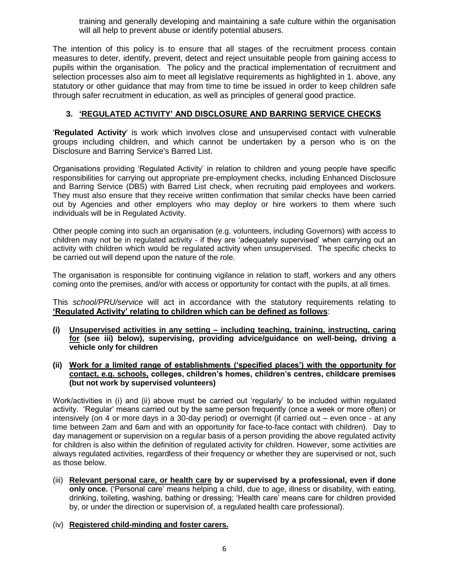training and generally developing and maintaining a safe culture within the organisation will all help to prevent abuse or identify potential abusers.

The intention of this policy is to ensure that all stages of the recruitment process contain measures to deter, identify, prevent, detect and reject unsuitable people from gaining access to pupils within the organisation. The policy and the practical implementation of recruitment and selection processes also aim to meet all legislative requirements as highlighted in 1. above, any statutory or other guidance that may from time to time be issued in order to keep children safe through safer recruitment in education, as well as principles of general good practice.

#### **3. 'REGULATED ACTIVITY' AND DISCLOSURE AND BARRING SERVICE CHECKS**

'**Regulated Activity**' is work which involves close and unsupervised contact with vulnerable groups including children, and which cannot be undertaken by a person who is on the Disclosure and Barring Service's Barred List.

Organisations providing 'Regulated Activity' in relation to children and young people have specific responsibilities for carrying out appropriate pre-employment checks, including Enhanced Disclosure and Barring Service (DBS) with Barred List check, when recruiting paid employees and workers. They must also ensure that they receive written confirmation that similar checks have been carried out by Agencies and other employers who may deploy or hire workers to them where such individuals will be in Regulated Activity.

Other people coming into such an organisation (e.g. volunteers, including Governors) with access to children may not be in regulated activity - if they are 'adequately supervised' when carrying out an activity with children which would be regulated activity when unsupervised. The specific checks to be carried out will depend upon the nature of the role.

The organisation is responsible for continuing vigilance in relation to staff, workers and any others coming onto the premises, and/or with access or opportunity for contact with the pupils, at all times.

This *school/PRU/service* will act in accordance with the statutory requirements relating to **'Regulated Activity' relating to children which can be defined as follows**:

- **(i) Unsupervised activities in any setting – including teaching, training, instructing, caring for (see iii) below), supervising, providing advice/guidance on well-being, driving a vehicle only for children**
- **(ii) Work for a limited range of establishments ('specified places') with the opportunity for contact, e.g. schools, colleges, children's homes, children's centres, childcare premises (but not work by supervised volunteers)**

Work/activities in (i) and (ii) above must be carried out 'regularly' to be included within regulated activity. 'Regular' means carried out by the same person frequently (once a week or more often) or intensively (on 4 or more days in a 30-day period) or overnight (if carried out – even once - at any time between 2am and 6am and with an opportunity for face-to-face contact with children). Day to day management or supervision on a regular basis of a person providing the above regulated activity for children is also within the definition of regulated activity for children. However, some activities are always regulated activities, regardless of their frequency or whether they are supervised or not, such as those below.

(iii) **Relevant personal care, or health care by or supervised by a professional, even if done only once.** ('Personal care' means helping a child, due to age, illness or disability, with eating, drinking, toileting, washing, bathing or dressing; 'Health care' means care for children provided by, or under the direction or supervision of, a regulated health care professional).

#### (iv) **Registered child-minding and foster carers.**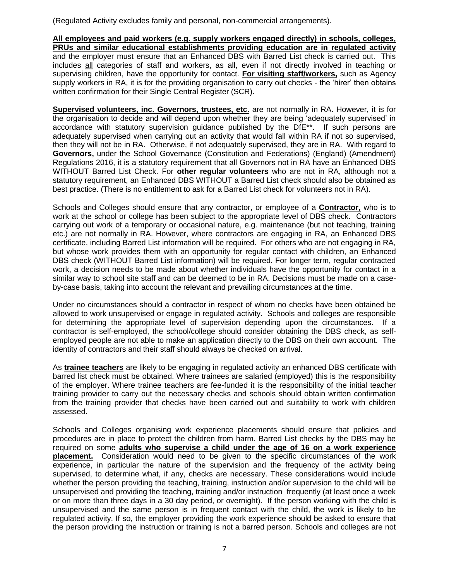(Regulated Activity excludes family and personal, non-commercial arrangements).

**All employees and paid workers (e.g. supply workers engaged directly) in schools, colleges, PRUs and similar educational establishments providing education are in regulated activity** and the employer must ensure that an Enhanced DBS with Barred List check is carried out. This includes all categories of staff and workers, as all, even if not directly involved in teaching or supervising children, have the opportunity for contact. **For visiting staff/workers,** such as Agency supply workers in RA, it is for the providing organisation to carry out checks - the 'hirer' then obtains written confirmation for their Single Central Register (SCR).

**Supervised volunteers, inc. Governors, trustees, etc.** are not normally in RA. However, it is for the organisation to decide and will depend upon whether they are being 'adequately supervised' in accordance with statutory supervision guidance published by the DfE\*\*. If such persons are adequately supervised when carrying out an activity that would fall within RA if not so supervised, then they will not be in RA. Otherwise, if not adequately supervised, they are in RA. With regard to **Governors,** under the School Governance (Constitution and Federations) (England) (Amendment) Regulations 2016, it is a statutory requirement that all Governors not in RA have an Enhanced DBS WITHOUT Barred List Check. For **other regular volunteers** who are not in RA, although not a statutory requirement, an Enhanced DBS WITHOUT a Barred List check should also be obtained as best practice. (There is no entitlement to ask for a Barred List check for volunteers not in RA).

Schools and Colleges should ensure that any contractor, or employee of a **Contractor,** who is to work at the school or college has been subject to the appropriate level of DBS check.Contractors carrying out work of a temporary or occasional nature, e.g. maintenance (but not teaching, training etc.) are not normally in RA. However, where contractors are engaging in RA, an Enhanced DBS certificate, including Barred List information will be required. For others who are not engaging in RA, but whose work provides them with an opportunity for regular contact with children, an Enhanced DBS check (WITHOUT Barred List information) will be required. For longer term, regular contracted work, a decision needs to be made about whether individuals have the opportunity for contact in a similar way to school site staff and can be deemed to be in RA. Decisions must be made on a caseby-case basis, taking into account the relevant and prevailing circumstances at the time.

Under no circumstances should a contractor in respect of whom no checks have been obtained be allowed to work unsupervised or engage in regulated activity. Schools and colleges are responsible for determining the appropriate level of supervision depending upon the circumstances. If a contractor is self-employed, the school/college should consider obtaining the DBS check, as selfemployed people are not able to make an application directly to the DBS on their own account. The identity of contractors and their staff should always be checked on arrival.

As **trainee teachers** are likely to be engaging in regulated activity an enhanced DBS certificate with barred list check must be obtained. Where trainees are salaried (employed) this is the responsibility of the employer. Where trainee teachers are fee-funded it is the responsibility of the initial teacher training provider to carry out the necessary checks and schools should obtain written confirmation from the training provider that checks have been carried out and suitability to work with children assessed.

Schools and Colleges organising work experience placements should ensure that policies and procedures are in place to protect the children from harm. Barred List checks by the DBS may be required on some **adults who supervise a child under the age of 16 on a work experience placement.** Consideration would need to be given to the specific circumstances of the work experience, in particular the nature of the supervision and the frequency of the activity being supervised, to determine what, if any, checks are necessary. These considerations would include whether the person providing the teaching, training, instruction and/or supervision to the child will be unsupervised and providing the teaching, training and/or instruction frequently (at least once a week or on more than three days in a 30 day period, or overnight). If the person working with the child is unsupervised and the same person is in frequent contact with the child, the work is likely to be regulated activity. If so, the employer providing the work experience should be asked to ensure that the person providing the instruction or training is not a barred person. Schools and colleges are not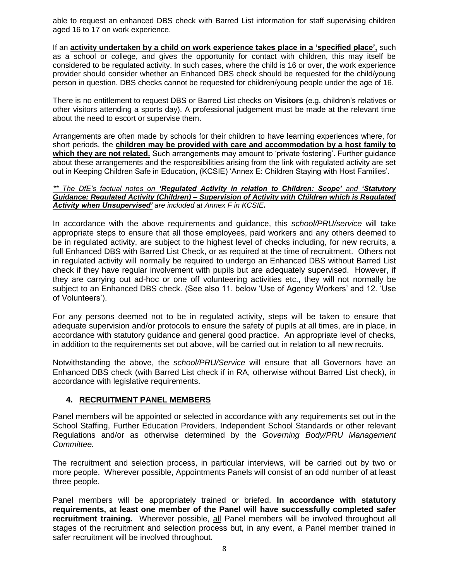able to request an enhanced DBS check with Barred List information for staff supervising children aged 16 to 17 on work experience.

If an **activity undertaken by a child on work experience takes place in a 'specified place',** such as a school or college, and gives the opportunity for contact with children, this may itself be considered to be regulated activity. In such cases, where the child is 16 or over, the work experience provider should consider whether an Enhanced DBS check should be requested for the child/young person in question. DBS checks cannot be requested for children/young people under the age of 16.

There is no entitlement to request DBS or Barred List checks on **Visitors** (e.g. children's relatives or other visitors attending a sports day). A professional judgement must be made at the relevant time about the need to escort or supervise them.

Arrangements are often made by schools for their children to have learning experiences where, for short periods, the **children may be provided with care and accommodation by a host family to**  which they are not related. Such arrangements may amount to 'private fostering'. Further guidance about these arrangements and the responsibilities arising from the link with regulated activity are set out in Keeping Children Safe in Education, (KCSIE) 'Annex E: Children Staying with Host Families'.

#### *\*\* The DfE's factual notes on 'Regulated Activity in relation to Children: Scope' and 'Statutory Guidance: Regulated Activity (Children) – Supervision of Activity with Children which is Regulated Activity when Unsupervised' are included at Annex F in KCSIE.*

In accordance with the above requirements and guidance, this *school/PRU/service* will take appropriate steps to ensure that all those employees, paid workers and any others deemed to be in regulated activity, are subject to the highest level of checks including, for new recruits, a full Enhanced DBS with Barred List Check, or as required at the time of recruitment. Others not in regulated activity will normally be required to undergo an Enhanced DBS without Barred List check if they have regular involvement with pupils but are adequately supervised. However, if they are carrying out ad-hoc or one off volunteering activities etc., they will not normally be subject to an Enhanced DBS check. (See also 11. below 'Use of Agency Workers' and 12. 'Use of Volunteers').

For any persons deemed not to be in regulated activity, steps will be taken to ensure that adequate supervision and/or protocols to ensure the safety of pupils at all times, are in place, in accordance with statutory guidance and general good practice. An appropriate level of checks, in addition to the requirements set out above, will be carried out in relation to all new recruits.

Notwithstanding the above, the *school/PRU/Service* will ensure that all Governors have an Enhanced DBS check (with Barred List check if in RA, otherwise without Barred List check), in accordance with legislative requirements.

#### **4. RECRUITMENT PANEL MEMBERS**

Panel members will be appointed or selected in accordance with any requirements set out in the School Staffing, Further Education Providers, Independent School Standards or other relevant Regulations and/or as otherwise determined by the *Governing Body/PRU Management Committee.*

The recruitment and selection process, in particular interviews, will be carried out by two or more people. Wherever possible, Appointments Panels will consist of an odd number of at least three people.

Panel members will be appropriately trained or briefed. **In accordance with statutory requirements, at least one member of the Panel will have successfully completed safer recruitment training.** Wherever possible, all Panel members will be involved throughout all stages of the recruitment and selection process but, in any event, a Panel member trained in safer recruitment will be involved throughout.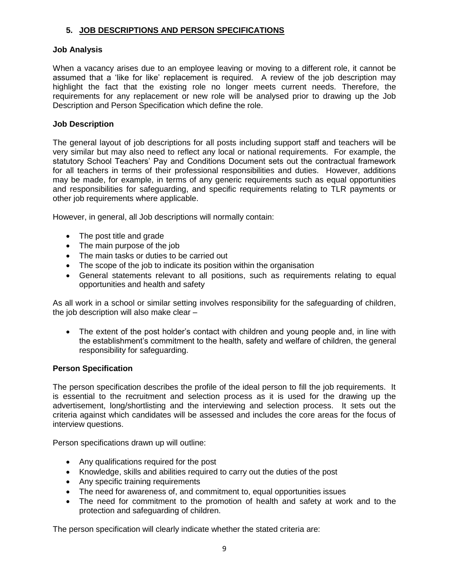#### **5. JOB DESCRIPTIONS AND PERSON SPECIFICATIONS**

#### **Job Analysis**

When a vacancy arises due to an employee leaving or moving to a different role, it cannot be assumed that a 'like for like' replacement is required. A review of the job description may highlight the fact that the existing role no longer meets current needs. Therefore, the requirements for any replacement or new role will be analysed prior to drawing up the Job Description and Person Specification which define the role.

#### **Job Description**

The general layout of job descriptions for all posts including support staff and teachers will be very similar but may also need to reflect any local or national requirements. For example, the statutory School Teachers' Pay and Conditions Document sets out the contractual framework for all teachers in terms of their professional responsibilities and duties. However, additions may be made, for example, in terms of any generic requirements such as equal opportunities and responsibilities for safeguarding, and specific requirements relating to TLR payments or other job requirements where applicable.

However, in general, all Job descriptions will normally contain:

- The post title and grade
- The main purpose of the job
- The main tasks or duties to be carried out
- The scope of the job to indicate its position within the organisation
- General statements relevant to all positions, such as requirements relating to equal opportunities and health and safety

As all work in a school or similar setting involves responsibility for the safeguarding of children, the job description will also make clear –

 The extent of the post holder's contact with children and young people and, in line with the establishment's commitment to the health, safety and welfare of children, the general responsibility for safeguarding.

#### **Person Specification**

The person specification describes the profile of the ideal person to fill the job requirements. It is essential to the recruitment and selection process as it is used for the drawing up the advertisement, long/shortlisting and the interviewing and selection process. It sets out the criteria against which candidates will be assessed and includes the core areas for the focus of interview questions.

Person specifications drawn up will outline:

- Any qualifications required for the post
- Knowledge, skills and abilities required to carry out the duties of the post
- Any specific training requirements
- The need for awareness of, and commitment to, equal opportunities issues
- The need for commitment to the promotion of health and safety at work and to the protection and safeguarding of children.

The person specification will clearly indicate whether the stated criteria are: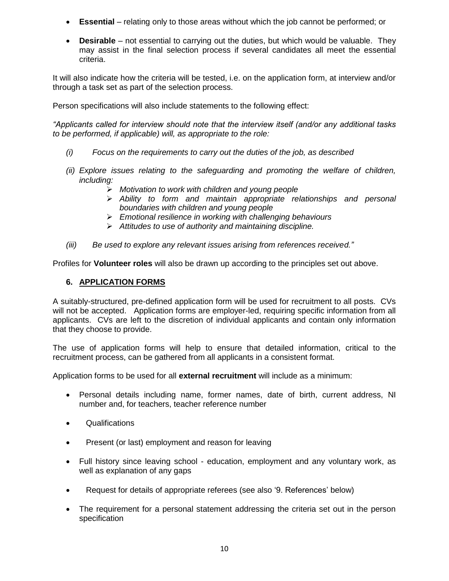- **Essential** relating only to those areas without which the job cannot be performed; or
- **Desirable** not essential to carrying out the duties, but which would be valuable. They may assist in the final selection process if several candidates all meet the essential criteria.

It will also indicate how the criteria will be tested, i.e. on the application form, at interview and/or through a task set as part of the selection process.

Person specifications will also include statements to the following effect:

*"Applicants called for interview should note that the interview itself (and/or any additional tasks to be performed, if applicable) will, as appropriate to the role:*

- *(i) Focus on the requirements to carry out the duties of the job, as described*
- *(ii) Explore issues relating to the safeguarding and promoting the welfare of children, including:*
	- *Motivation to work with children and young people*
	- *Ability to form and maintain appropriate relationships and personal boundaries with children and young people*
	- *Emotional resilience in working with challenging behaviours*
	- *Attitudes to use of authority and maintaining discipline.*
- *(iii) Be used to explore any relevant issues arising from references received."*

Profiles for **Volunteer roles** will also be drawn up according to the principles set out above.

#### **6. APPLICATION FORMS**

A suitably-structured, pre-defined application form will be used for recruitment to all posts. CVs will not be accepted. Application forms are employer-led, requiring specific information from all applicants. CVs are left to the discretion of individual applicants and contain only information that they choose to provide.

The use of application forms will help to ensure that detailed information, critical to the recruitment process, can be gathered from all applicants in a consistent format.

Application forms to be used for all **external recruitment** will include as a minimum:

- Personal details including name, former names, date of birth, current address, NI number and, for teachers, teacher reference number
- Qualifications
- Present (or last) employment and reason for leaving
- Full history since leaving school education, employment and any voluntary work, as well as explanation of any gaps
- Request for details of appropriate referees (see also '9. References' below)
- The requirement for a personal statement addressing the criteria set out in the person specification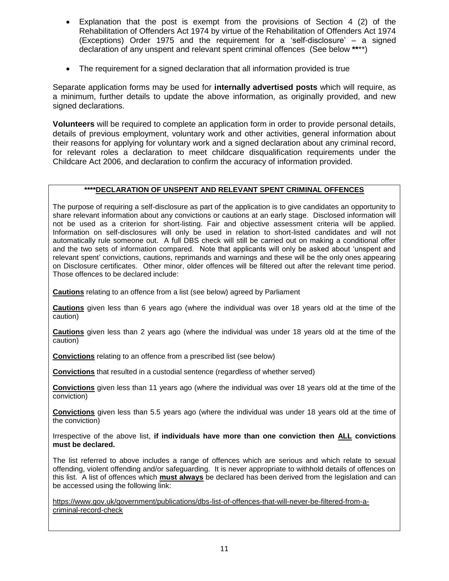- Explanation that the post is exempt from the provisions of Section 4 (2) of the Rehabilitation of Offenders Act 1974 by virtue of the Rehabilitation of Offenders Act 1974 (Exceptions) Order 1975 and the requirement for a 'self-disclosure' – a signed declaration of any unspent and relevant spent criminal offences (See below **\*\***\*\*)
- The requirement for a signed declaration that all information provided is true

Separate application forms may be used for **internally advertised posts** which will require, as a minimum, further details to update the above information, as originally provided, and new signed declarations.

**Volunteers** will be required to complete an application form in order to provide personal details, details of previous employment, voluntary work and other activities, general information about their reasons for applying for voluntary work and a signed declaration about any criminal record, for relevant roles a declaration to meet childcare disqualification requirements under the Childcare Act 2006, and declaration to confirm the accuracy of information provided.

#### **\*\*\*\*DECLARATION OF UNSPENT AND RELEVANT SPENT CRIMINAL OFFENCES**

The purpose of requiring a self-disclosure as part of the application is to give candidates an opportunity to share relevant information about any convictions or cautions at an early stage. Disclosed information will not be used as a criterion for short-listing. Fair and objective assessment criteria will be applied. Information on self-disclosures will only be used in relation to short-listed candidates and will not automatically rule someone out. A full DBS check will still be carried out on making a conditional offer and the two sets of information compared. Note that applicants will only be asked about 'unspent and relevant spent' convictions, cautions, reprimands and warnings and these will be the only ones appearing on Disclosure certificates. Other minor, older offences will be filtered out after the relevant time period. Those offences to be declared include:

**Cautions** relating to an offence from a list (see below) agreed by Parliament

**Cautions** given less than 6 years ago (where the individual was over 18 years old at the time of the caution)

**Cautions** given less than 2 years ago (where the individual was under 18 years old at the time of the caution)

**Convictions** relating to an offence from a prescribed list (see below)

**Convictions** that resulted in a custodial sentence (regardless of whether served)

**Convictions** given less than 11 years ago (where the individual was over 18 years old at the time of the conviction)

**Convictions** given less than 5.5 years ago (where the individual was under 18 years old at the time of the conviction)

Irrespective of the above list, **if individuals have more than one conviction then ALL convictions must be declared.**

The list referred to above includes a range of offences which are serious and which relate to sexual offending, violent offending and/or safeguarding. It is never appropriate to withhold details of offences on this list. A list of offences which **must always** be declared has been derived from the legislation and can be accessed using the following link:

[https://www.gov.uk/government/publications/dbs-list-of-offences-that-will-never-be-filtered-from-a](https://www.gov.uk/government/publications/dbs-list-of-offences-that-will-never-be-filtered-from-a-criminal-record-check)[criminal-record-check](https://www.gov.uk/government/publications/dbs-list-of-offences-that-will-never-be-filtered-from-a-criminal-record-check)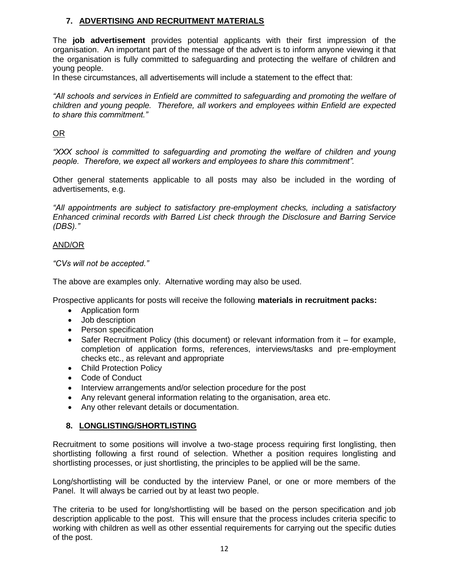#### **7. ADVERTISING AND RECRUITMENT MATERIALS**

The **job advertisement** provides potential applicants with their first impression of the organisation. An important part of the message of the advert is to inform anyone viewing it that the organisation is fully committed to safeguarding and protecting the welfare of children and young people.

In these circumstances, all advertisements will include a statement to the effect that:

*"All schools and services in Enfield are committed to safeguarding and promoting the welfare of children and young people. Therefore, all workers and employees within Enfield are expected to share this commitment."*

#### OR

*"XXX school is committed to safeguarding and promoting the welfare of children and young people. Therefore, we expect all workers and employees to share this commitment".*

Other general statements applicable to all posts may also be included in the wording of advertisements, e.g.

*"All appointments are subject to satisfactory pre-employment checks, including a satisfactory Enhanced criminal records with Barred List check through the Disclosure and Barring Service (DBS)."* 

#### AND/OR

*"CVs will not be accepted."*

The above are examples only. Alternative wording may also be used.

Prospective applicants for posts will receive the following **materials in recruitment packs:**

- Application form
- Job description
- Person specification
- Safer Recruitment Policy (this document) or relevant information from it for example, completion of application forms, references, interviews/tasks and pre-employment checks etc., as relevant and appropriate
- Child Protection Policy
- Code of Conduct
- Interview arrangements and/or selection procedure for the post
- Any relevant general information relating to the organisation, area etc.
- Any other relevant details or documentation.

#### **8. LONGLISTING/SHORTLISTING**

Recruitment to some positions will involve a two-stage process requiring first longlisting, then shortlisting following a first round of selection. Whether a position requires longlisting and shortlisting processes, or just shortlisting, the principles to be applied will be the same.

Long/shortlisting will be conducted by the interview Panel, or one or more members of the Panel. It will always be carried out by at least two people.

The criteria to be used for long/shortlisting will be based on the person specification and job description applicable to the post. This will ensure that the process includes criteria specific to working with children as well as other essential requirements for carrying out the specific duties of the post.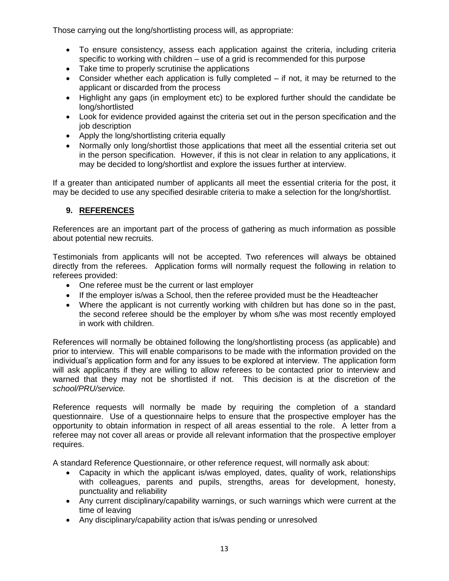Those carrying out the long/shortlisting process will, as appropriate:

- To ensure consistency, assess each application against the criteria, including criteria specific to working with children – use of a grid is recommended for this purpose
- Take time to properly scrutinise the applications
- Consider whether each application is fully completed if not, it may be returned to the applicant or discarded from the process
- Highlight any gaps (in employment etc) to be explored further should the candidate be long/shortlisted
- Look for evidence provided against the criteria set out in the person specification and the job description
- Apply the long/shortlisting criteria equally
- Normally only long/shortlist those applications that meet all the essential criteria set out in the person specification. However, if this is not clear in relation to any applications, it may be decided to long/shortlist and explore the issues further at interview.

If a greater than anticipated number of applicants all meet the essential criteria for the post, it may be decided to use any specified desirable criteria to make a selection for the long/shortlist.

#### **9. REFERENCES**

References are an important part of the process of gathering as much information as possible about potential new recruits.

Testimonials from applicants will not be accepted. Two references will always be obtained directly from the referees. Application forms will normally request the following in relation to referees provided:

- One referee must be the current or last employer
- If the employer is/was a School, then the referee provided must be the Headteacher
- Where the applicant is not currently working with children but has done so in the past, the second referee should be the employer by whom s/he was most recently employed in work with children.

References will normally be obtained following the long/shortlisting process (as applicable) and prior to interview. This will enable comparisons to be made with the information provided on the individual's application form and for any issues to be explored at interview. The application form will ask applicants if they are willing to allow referees to be contacted prior to interview and warned that they may not be shortlisted if not. This decision is at the discretion of the *school/PRU/service.* 

Reference requests will normally be made by requiring the completion of a standard questionnaire. Use of a questionnaire helps to ensure that the prospective employer has the opportunity to obtain information in respect of all areas essential to the role. A letter from a referee may not cover all areas or provide all relevant information that the prospective employer requires.

A standard Reference Questionnaire, or other reference request, will normally ask about:

- Capacity in which the applicant is/was employed, dates, quality of work, relationships with colleagues, parents and pupils, strengths, areas for development, honesty, punctuality and reliability
- Any current disciplinary/capability warnings, or such warnings which were current at the time of leaving
- Any disciplinary/capability action that is/was pending or unresolved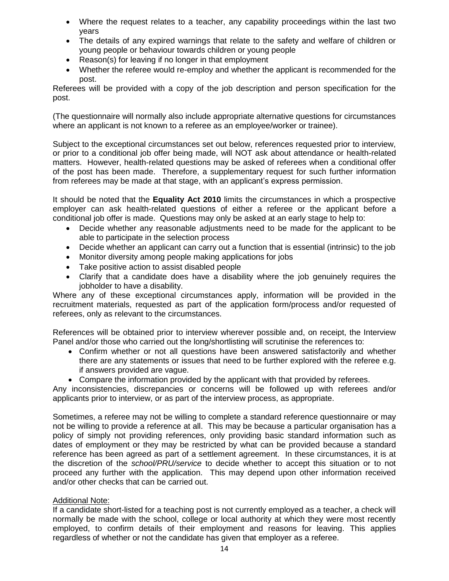- Where the request relates to a teacher, any capability proceedings within the last two years
- The details of any expired warnings that relate to the safety and welfare of children or young people or behaviour towards children or young people
- Reason(s) for leaving if no longer in that employment
- Whether the referee would re-employ and whether the applicant is recommended for the post.

Referees will be provided with a copy of the job description and person specification for the post.

(The questionnaire will normally also include appropriate alternative questions for circumstances where an applicant is not known to a referee as an employee/worker or trainee).

Subject to the exceptional circumstances set out below, references requested prior to interview, or prior to a conditional job offer being made, will NOT ask about attendance or health-related matters. However, health-related questions may be asked of referees when a conditional offer of the post has been made. Therefore, a supplementary request for such further information from referees may be made at that stage, with an applicant's express permission.

It should be noted that the **Equality Act 2010** limits the circumstances in which a prospective employer can ask health-related questions of either a referee or the applicant before a conditional job offer is made. Questions may only be asked at an early stage to help to:

- Decide whether any reasonable adjustments need to be made for the applicant to be able to participate in the selection process
- Decide whether an applicant can carry out a function that is essential (intrinsic) to the job
- Monitor diversity among people making applications for jobs
- Take positive action to assist disabled people
- Clarify that a candidate does have a disability where the job genuinely requires the jobholder to have a disability.

Where any of these exceptional circumstances apply, information will be provided in the recruitment materials, requested as part of the application form/process and/or requested of referees, only as relevant to the circumstances.

References will be obtained prior to interview wherever possible and, on receipt, the Interview Panel and/or those who carried out the long/shortlisting will scrutinise the references to:

- Confirm whether or not all questions have been answered satisfactorily and whether there are any statements or issues that need to be further explored with the referee e.g. if answers provided are vague.
- Compare the information provided by the applicant with that provided by referees.

Any inconsistencies, discrepancies or concerns will be followed up with referees and/or applicants prior to interview, or as part of the interview process, as appropriate.

Sometimes, a referee may not be willing to complete a standard reference questionnaire or may not be willing to provide a reference at all. This may be because a particular organisation has a policy of simply not providing references, only providing basic standard information such as dates of employment or they may be restricted by what can be provided because a standard reference has been agreed as part of a settlement agreement. In these circumstances, it is at the discretion of the *school/PRU/service* to decide whether to accept this situation or to not proceed any further with the application. This may depend upon other information received and/or other checks that can be carried out.

#### Additional Note:

If a candidate short-listed for a teaching post is not currently employed as a teacher, a check will normally be made with the school, college or local authority at which they were most recently employed, to confirm details of their employment and reasons for leaving. This applies regardless of whether or not the candidate has given that employer as a referee.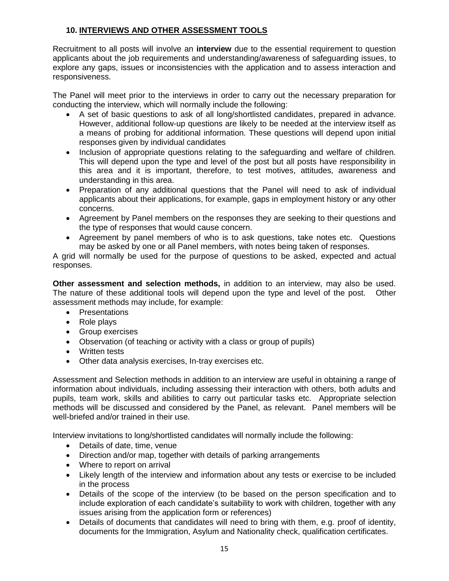#### **10. INTERVIEWS AND OTHER ASSESSMENT TOOLS**

Recruitment to all posts will involve an **interview** due to the essential requirement to question applicants about the job requirements and understanding/awareness of safeguarding issues, to explore any gaps, issues or inconsistencies with the application and to assess interaction and responsiveness.

The Panel will meet prior to the interviews in order to carry out the necessary preparation for conducting the interview, which will normally include the following:

- A set of basic questions to ask of all long/shortlisted candidates, prepared in advance. However, additional follow-up questions are likely to be needed at the interview itself as a means of probing for additional information. These questions will depend upon initial responses given by individual candidates
- Inclusion of appropriate questions relating to the safeguarding and welfare of children. This will depend upon the type and level of the post but all posts have responsibility in this area and it is important, therefore, to test motives, attitudes, awareness and understanding in this area.
- Preparation of any additional questions that the Panel will need to ask of individual applicants about their applications, for example, gaps in employment history or any other concerns.
- Agreement by Panel members on the responses they are seeking to their questions and the type of responses that would cause concern.
- Agreement by panel members of who is to ask questions, take notes etc. Questions may be asked by one or all Panel members, with notes being taken of responses.

A grid will normally be used for the purpose of questions to be asked, expected and actual responses.

**Other assessment and selection methods,** in addition to an interview, may also be used. The nature of these additional tools will depend upon the type and level of the post. Other assessment methods may include, for example:

- Presentations
- Role plays
- **•** Group exercises
- Observation (of teaching or activity with a class or group of pupils)
- Written tests
- Other data analysis exercises, In-tray exercises etc.

Assessment and Selection methods in addition to an interview are useful in obtaining a range of information about individuals, including assessing their interaction with others, both adults and pupils, team work, skills and abilities to carry out particular tasks etc. Appropriate selection methods will be discussed and considered by the Panel, as relevant. Panel members will be well-briefed and/or trained in their use.

Interview invitations to long/shortlisted candidates will normally include the following:

- Details of date, time, venue
- Direction and/or map, together with details of parking arrangements
- Where to report on arrival
- Likely length of the interview and information about any tests or exercise to be included in the process
- Details of the scope of the interview (to be based on the person specification and to include exploration of each candidate's suitability to work with children, together with any issues arising from the application form or references)
- Details of documents that candidates will need to bring with them, e.g. proof of identity, documents for the Immigration, Asylum and Nationality check, qualification certificates.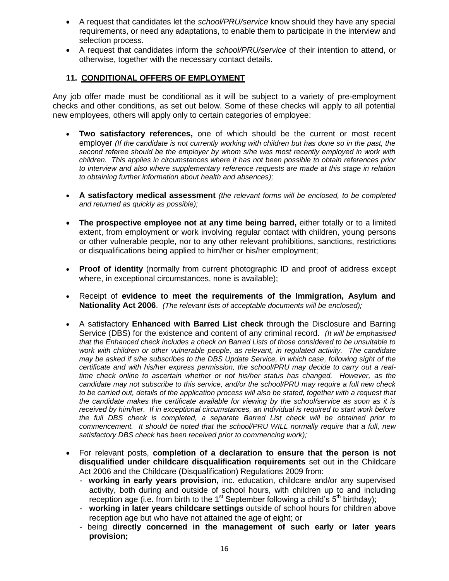- A request that candidates let the *school/PRU/service* know should they have any special requirements, or need any adaptations, to enable them to participate in the interview and selection process.
- A request that candidates inform the *school/PRU/service* of their intention to attend, or otherwise, together with the necessary contact details.

#### **11. CONDITIONAL OFFERS OF EMPLOYMENT**

Any job offer made must be conditional as it will be subject to a variety of pre-employment checks and other conditions, as set out below. Some of these checks will apply to all potential new employees, others will apply only to certain categories of employee:

- **Two satisfactory references,** one of which should be the current or most recent employer *(If the candidate is not currently working with children but has done so in the past, the second referee should be the employer by whom s/he was most recently employed in work with children. This applies in circumstances where it has not been possible to obtain references prior to interview and also where supplementary reference requests are made at this stage in relation to obtaining further information about health and absences);*
- **A satisfactory medical assessment** *(the relevant forms will be enclosed, to be completed and returned as quickly as possible);*
- **The prospective employee not at any time being barred,** either totally or to a limited extent, from employment or work involving regular contact with children, young persons or other vulnerable people, nor to any other relevant prohibitions, sanctions, restrictions or disqualifications being applied to him/her or his/her employment;
- **Proof of identity** (normally from current photographic ID and proof of address except where, in exceptional circumstances, none is available);
- Receipt of **evidence to meet the requirements of the Immigration, Asylum and Nationality Act 2006**. *(The relevant lists of acceptable documents will be enclosed);*
- A satisfactory **Enhanced with Barred List check** through the Disclosure and Barring Service (DBS) for the existence and content of any criminal record. *(It will be emphasised that the Enhanced check includes a check on Barred Lists of those considered to be unsuitable to work with children or other vulnerable people, as relevant, in regulated activity. The candidate may be asked if s/he subscribes to the DBS Update Service, in which case, following sight of the certificate and with his/her express permission, the school/PRU may decide to carry out a realtime check online to ascertain whether or not his/her status has changed. However, as the candidate may not subscribe to this service, and/or the school/PRU may require a full new check to be carried out, details of the application process will also be stated, together with a request that the candidate makes the certificate available for viewing by the school/service as soon as it is received by him/her. If in exceptional circumstances, an individual is required to start work before the full DBS check is completed, a separate Barred List check will be obtained prior to commencement. It should be noted that the school/PRU WILL normally require that a full, new satisfactory DBS check has been received prior to commencing work);*
- For relevant posts, **completion of a declaration to ensure that the person is not disqualified under childcare disqualification requirements** set out in the Childcare Act 2006 and the Childcare (Disqualification) Regulations 2009 from:
	- **working in early years provision,** inc. education, childcare and/or any supervised activity, both during and outside of school hours, with children up to and including reception age (i.e. from birth to the 1<sup>st</sup> September following a child's  $5<sup>th</sup>$  birthday);
	- **working in later years childcare settings** outside of school hours for children above reception age but who have not attained the age of eight; or
	- being **directly concerned in the management of such early or later years provision;**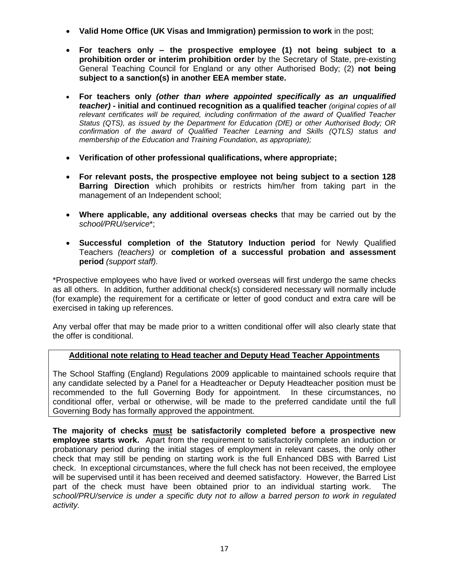- **Valid Home Office (UK Visas and Immigration) permission to work** in the post;
- **For teachers only – the prospective employee (1) not being subject to a prohibition order or interim prohibition order** by the Secretary of State, pre-existing General Teaching Council for England or any other Authorised Body; (2) **not being subject to a sanction(s) in another EEA member state.**
- **For teachers only** *(other than where appointed specifically as an unqualified teacher)* **- initial and continued recognition as a qualified teacher** *(original copies of all relevant certificates will be required, including confirmation of the award of Qualified Teacher Status (QTS), as issued by the Department for Education (DfE) or other Authorised Body; OR confirmation of the award of Qualified Teacher Learning and Skills (QTLS) status and membership of the Education and Training Foundation, as appropriate);*
- **Verification of other professional qualifications, where appropriate;**
- **For relevant posts, the prospective employee not being subject to a section 128 Barring Direction** which prohibits or restricts him/her from taking part in the management of an Independent school;
- **Where applicable, any additional overseas checks** that may be carried out by the *school/PRU/service*\*;
- **Successful completion of the Statutory Induction period** for Newly Qualified Teachers *(teachers)* or **completion of a successful probation and assessment period** *(support staff).*

\*Prospective employees who have lived or worked overseas will first undergo the same checks as all others. In addition, further additional check(s) considered necessary will normally include (for example) the requirement for a certificate or letter of good conduct and extra care will be exercised in taking up references.

Any verbal offer that may be made prior to a written conditional offer will also clearly state that the offer is conditional.

#### **Additional note relating to Head teacher and Deputy Head Teacher Appointments**

The School Staffing (England) Regulations 2009 applicable to maintained schools require that any candidate selected by a Panel for a Headteacher or Deputy Headteacher position must be recommended to the full Governing Body for appointment. In these circumstances, no conditional offer, verbal or otherwise, will be made to the preferred candidate until the full Governing Body has formally approved the appointment.

**The majority of checks must be satisfactorily completed before a prospective new employee starts work.** Apart from the requirement to satisfactorily complete an induction or probationary period during the initial stages of employment in relevant cases, the only other check that may still be pending on starting work is the full Enhanced DBS with Barred List check. In exceptional circumstances, where the full check has not been received, the employee will be supervised until it has been received and deemed satisfactory. However, the Barred List part of the check must have been obtained prior to an individual starting work. The *school/PRU/service is under a specific duty not to allow a barred person to work in regulated activity.*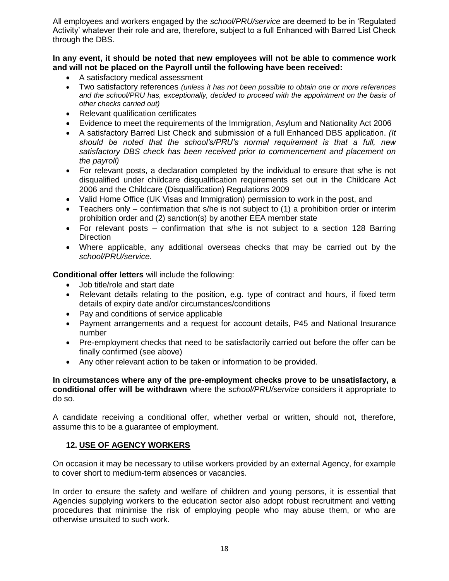All employees and workers engaged by the *school/PRU/service* are deemed to be in 'Regulated Activity' whatever their role and are, therefore, subject to a full Enhanced with Barred List Check through the DBS.

#### **In any event, it should be noted that new employees will not be able to commence work and will not be placed on the Payroll until the following have been received:**

- A satisfactory medical assessment
- Two satisfactory references *(unless it has not been possible to obtain one or more references and the school/PRU has, exceptionally, decided to proceed with the appointment on the basis of other checks carried out)*
- Relevant qualification certificates
- Evidence to meet the requirements of the Immigration, Asylum and Nationality Act 2006
- A satisfactory Barred List Check and submission of a full Enhanced DBS application. *(It should be noted that the school's/PRU's normal requirement is that a full, new satisfactory DBS check has been received prior to commencement and placement on the payroll)*
- For relevant posts, a declaration completed by the individual to ensure that s/he is not disqualified under childcare disqualification requirements set out in the Childcare Act 2006 and the Childcare (Disqualification) Regulations 2009
- Valid Home Office (UK Visas and Immigration) permission to work in the post, and
- Teachers only confirmation that s/he is not subject to (1) a prohibition order or interim prohibition order and (2) sanction(s) by another EEA member state
- For relevant posts confirmation that s/he is not subject to a section 128 Barring **Direction**
- Where applicable, any additional overseas checks that may be carried out by the *school/PRU/service.*

**Conditional offer letters** will include the following:

- Job title/role and start date
- Relevant details relating to the position, e.g. type of contract and hours, if fixed term details of expiry date and/or circumstances/conditions
- Pay and conditions of service applicable
- Payment arrangements and a request for account details, P45 and National Insurance number
- Pre-employment checks that need to be satisfactorily carried out before the offer can be finally confirmed (see above)
- Any other relevant action to be taken or information to be provided.

**In circumstances where any of the pre-employment checks prove to be unsatisfactory, a conditional offer will be withdrawn** where the *school/PRU/service* considers it appropriate to do so.

A candidate receiving a conditional offer, whether verbal or written, should not, therefore, assume this to be a guarantee of employment.

#### **12. USE OF AGENCY WORKERS**

On occasion it may be necessary to utilise workers provided by an external Agency, for example to cover short to medium-term absences or vacancies.

In order to ensure the safety and welfare of children and young persons, it is essential that Agencies supplying workers to the education sector also adopt robust recruitment and vetting procedures that minimise the risk of employing people who may abuse them, or who are otherwise unsuited to such work.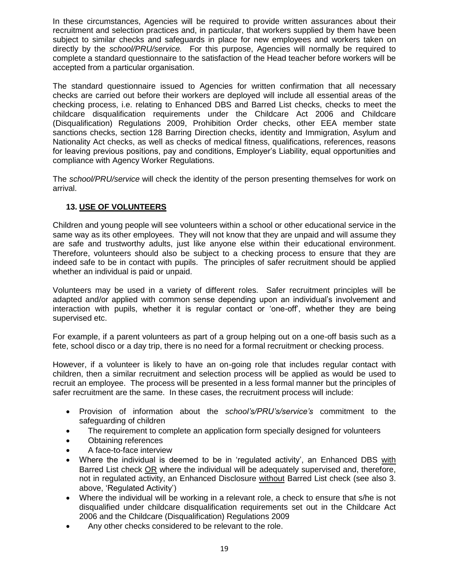In these circumstances, Agencies will be required to provide written assurances about their recruitment and selection practices and, in particular, that workers supplied by them have been subject to similar checks and safeguards in place for new employees and workers taken on directly by the *school/PRU/service.* For this purpose, Agencies will normally be required to complete a standard questionnaire to the satisfaction of the Head teacher before workers will be accepted from a particular organisation.

The standard questionnaire issued to Agencies for written confirmation that all necessary checks are carried out before their workers are deployed will include all essential areas of the checking process, i.e. relating to Enhanced DBS and Barred List checks, checks to meet the childcare disqualification requirements under the Childcare Act 2006 and Childcare (Disqualification) Regulations 2009, Prohibition Order checks, other EEA member state sanctions checks, section 128 Barring Direction checks, identity and Immigration, Asylum and Nationality Act checks, as well as checks of medical fitness, qualifications, references, reasons for leaving previous positions, pay and conditions, Employer's Liability, equal opportunities and compliance with Agency Worker Regulations.

The *school/PRU/service* will check the identity of the person presenting themselves for work on arrival.

#### **13. USE OF VOLUNTEERS**

Children and young people will see volunteers within a school or other educational service in the same way as its other employees. They will not know that they are unpaid and will assume they are safe and trustworthy adults, just like anyone else within their educational environment. Therefore, volunteers should also be subject to a checking process to ensure that they are indeed safe to be in contact with pupils. The principles of safer recruitment should be applied whether an individual is paid or unpaid.

Volunteers may be used in a variety of different roles. Safer recruitment principles will be adapted and/or applied with common sense depending upon an individual's involvement and interaction with pupils, whether it is regular contact or 'one-off', whether they are being supervised etc.

For example, if a parent volunteers as part of a group helping out on a one-off basis such as a fete, school disco or a day trip, there is no need for a formal recruitment or checking process.

However, if a volunteer is likely to have an on-going role that includes regular contact with children, then a similar recruitment and selection process will be applied as would be used to recruit an employee. The process will be presented in a less formal manner but the principles of safer recruitment are the same. In these cases, the recruitment process will include:

- Provision of information about the *school's/PRU's/service's* commitment to the safeguarding of children
- The requirement to complete an application form specially designed for volunteers
- Obtaining references
- A face-to-face interview
- Where the individual is deemed to be in 'regulated activity', an Enhanced DBS with Barred List check OR where the individual will be adequately supervised and, therefore, not in regulated activity, an Enhanced Disclosure without Barred List check (see also 3. above, 'Regulated Activity')
- Where the individual will be working in a relevant role, a check to ensure that s/he is not disqualified under childcare disqualification requirements set out in the Childcare Act 2006 and the Childcare (Disqualification) Regulations 2009
- Any other checks considered to be relevant to the role.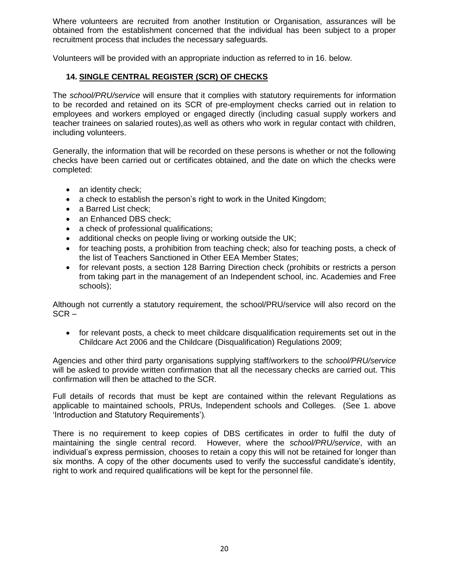Where volunteers are recruited from another Institution or Organisation, assurances will be obtained from the establishment concerned that the individual has been subject to a proper recruitment process that includes the necessary safeguards.

Volunteers will be provided with an appropriate induction as referred to in 16. below.

#### **14. SINGLE CENTRAL REGISTER (SCR) OF CHECKS**

The *school/PRU/service* will ensure that it complies with statutory requirements for information to be recorded and retained on its SCR of pre-employment checks carried out in relation to employees and workers employed or engaged directly (including casual supply workers and teacher trainees on salaried routes),as well as others who work in regular contact with children, including volunteers.

Generally, the information that will be recorded on these persons is whether or not the following checks have been carried out or certificates obtained, and the date on which the checks were completed:

- an identity check;
- a check to establish the person's right to work in the United Kingdom;
- a Barred List check;
- an Enhanced DBS check:
- a check of professional qualifications;
- additional checks on people living or working outside the UK;
- for teaching posts, a prohibition from teaching check; also for teaching posts, a check of the list of Teachers Sanctioned in Other EEA Member States;
- for relevant posts, a section 128 Barring Direction check (prohibits or restricts a person from taking part in the management of an Independent school, inc. Academies and Free schools);

Although not currently a statutory requirement, the school/PRU/service will also record on the  $SCR -$ 

• for relevant posts, a check to meet childcare disqualification requirements set out in the Childcare Act 2006 and the Childcare (Disqualification) Regulations 2009;

Agencies and other third party organisations supplying staff/workers to the *school/PRU/service* will be asked to provide written confirmation that all the necessary checks are carried out. This confirmation will then be attached to the SCR.

Full details of records that must be kept are contained within the relevant Regulations as applicable to maintained schools, PRUs, Independent schools and Colleges. (See 1. above 'Introduction and Statutory Requirements')*.*

There is no requirement to keep copies of DBS certificates in order to fulfil the duty of maintaining the single central record. However, where the *school/PRU/service*, with an individual's express permission, chooses to retain a copy this will not be retained for longer than six months. A copy of the other documents used to verify the successful candidate's identity, right to work and required qualifications will be kept for the personnel file.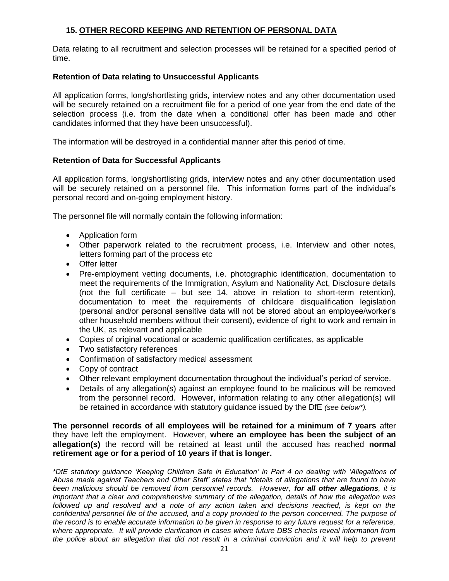#### **15. OTHER RECORD KEEPING AND RETENTION OF PERSONAL DATA**

Data relating to all recruitment and selection processes will be retained for a specified period of time.

#### **Retention of Data relating to Unsuccessful Applicants**

All application forms, long/shortlisting grids, interview notes and any other documentation used will be securely retained on a recruitment file for a period of one year from the end date of the selection process (i.e. from the date when a conditional offer has been made and other candidates informed that they have been unsuccessful).

The information will be destroyed in a confidential manner after this period of time.

#### **Retention of Data for Successful Applicants**

All application forms, long/shortlisting grids, interview notes and any other documentation used will be securely retained on a personnel file. This information forms part of the individual's personal record and on-going employment history.

The personnel file will normally contain the following information:

- Application form
- Other paperwork related to the recruitment process, i.e. Interview and other notes, letters forming part of the process etc
- Offer letter
- Pre-employment vetting documents, i.e. photographic identification, documentation to meet the requirements of the Immigration, Asylum and Nationality Act, Disclosure details (not the full certificate – but see 14. above in relation to short-term retention), documentation to meet the requirements of childcare disqualification legislation (personal and/or personal sensitive data will not be stored about an employee/worker's other household members without their consent), evidence of right to work and remain in the UK, as relevant and applicable
- Copies of original vocational or academic qualification certificates, as applicable
- Two satisfactory references
- Confirmation of satisfactory medical assessment
- Copy of contract
- Other relevant employment documentation throughout the individual's period of service.
- Details of any allegation(s) against an employee found to be malicious will be removed from the personnel record. However, information relating to any other allegation(s) will be retained in accordance with statutory guidance issued by the DfE *(see below\*).*

**The personnel records of all employees will be retained for a minimum of 7 years** after they have left the employment. However, **where an employee has been the subject of an allegation(s)** the record will be retained at least until the accused has reached **normal retirement age or for a period of 10 years if that is longer.** 

*\*DfE statutory guidance 'Keeping Children Safe in Education' in Part 4 on dealing with 'Allegations of Abuse made against Teachers and Other Staff' states that "details of allegations that are found to have been malicious should be removed from personnel records. However, for all other allegations, it is important that a clear and comprehensive summary of the allegation, details of how the allegation was followed up and resolved and a note of any action taken and decisions reached, is kept on the confidential personnel file of the accused, and a copy provided to the person concerned. The purpose of the record is to enable accurate information to be given in response to any future request for a reference, where appropriate. It will provide clarification in cases where future DBS checks reveal information from*  the police about an allegation that did not result in a criminal conviction and it will help to prevent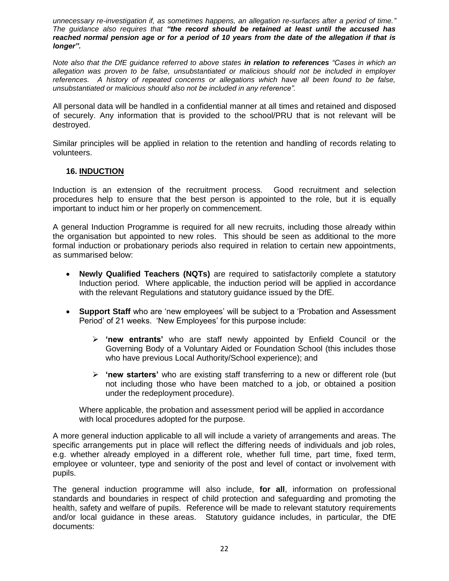*unnecessary re-investigation if, as sometimes happens, an allegation re-surfaces after a period of time." The guidance also requires that "the record should be retained at least until the accused has reached normal pension age or for a period of 10 years from the date of the allegation if that is longer".* 

*Note also that the DfE guidance referred to above states in relation to references "Cases in which an allegation was proven to be false, unsubstantiated or malicious should not be included in employer references. A history of repeated concerns or allegations which have all been found to be false, unsubstantiated or malicious should also not be included in any reference".*

All personal data will be handled in a confidential manner at all times and retained and disposed of securely. Any information that is provided to the school/PRU that is not relevant will be destroyed.

Similar principles will be applied in relation to the retention and handling of records relating to volunteers.

#### **16. INDUCTION**

Induction is an extension of the recruitment process. Good recruitment and selection procedures help to ensure that the best person is appointed to the role, but it is equally important to induct him or her properly on commencement.

A general Induction Programme is required for all new recruits, including those already within the organisation but appointed to new roles. This should be seen as additional to the more formal induction or probationary periods also required in relation to certain new appointments, as summarised below:

- **Newly Qualified Teachers (NQTs)** are required to satisfactorily complete a statutory Induction period. Where applicable, the induction period will be applied in accordance with the relevant Regulations and statutory guidance issued by the DfE.
- **Support Staff** who are 'new employees' will be subject to a 'Probation and Assessment Period' of 21 weeks. 'New Employees' for this purpose include:
	- **'new entrants'** who are staff newly appointed by Enfield Council or the Governing Body of a Voluntary Aided or Foundation School (this includes those who have previous Local Authority/School experience); and
	- **'new starters'** who are existing staff transferring to a new or different role (but not including those who have been matched to a job, or obtained a position under the redeployment procedure).

Where applicable, the probation and assessment period will be applied in accordance with local procedures adopted for the purpose.

A more general induction applicable to all will include a variety of arrangements and areas. The specific arrangements put in place will reflect the differing needs of individuals and job roles, e.g. whether already employed in a different role, whether full time, part time, fixed term, employee or volunteer, type and seniority of the post and level of contact or involvement with pupils.

The general induction programme will also include, **for all**, information on professional standards and boundaries in respect of child protection and safeguarding and promoting the health, safety and welfare of pupils. Reference will be made to relevant statutory requirements and/or local guidance in these areas. Statutory guidance includes, in particular, the DfE documents: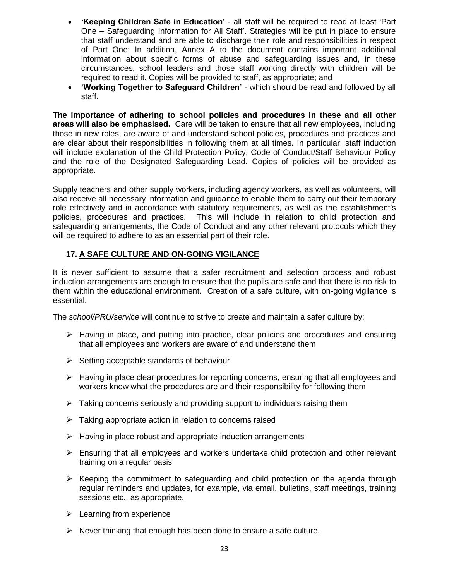- **'Keeping Children Safe in Education'** all staff will be required to read at least 'Part One – Safeguarding Information for All Staff'. Strategies will be put in place to ensure that staff understand and are able to discharge their role and responsibilities in respect of Part One; In addition, Annex A to the document contains important additional information about specific forms of abuse and safeguarding issues and, in these circumstances, school leaders and those staff working directly with children will be required to read it. Copies will be provided to staff, as appropriate; and
- **'Working Together to Safeguard Children'** which should be read and followed by all staff.

**The importance of adhering to school policies and procedures in these and all other areas will also be emphasised.** Care will be taken to ensure that all new employees, including those in new roles, are aware of and understand school policies, procedures and practices and are clear about their responsibilities in following them at all times. In particular, staff induction will include explanation of the Child Protection Policy, Code of Conduct/Staff Behaviour Policy and the role of the Designated Safeguarding Lead. Copies of policies will be provided as appropriate.

Supply teachers and other supply workers, including agency workers, as well as volunteers, will also receive all necessary information and guidance to enable them to carry out their temporary role effectively and in accordance with statutory requirements, as well as the establishment's policies, procedures and practices. This will include in relation to child protection and safeguarding arrangements, the Code of Conduct and any other relevant protocols which they will be required to adhere to as an essential part of their role.

#### **17. A SAFE CULTURE AND ON-GOING VIGILANCE**

It is never sufficient to assume that a safer recruitment and selection process and robust induction arrangements are enough to ensure that the pupils are safe and that there is no risk to them within the educational environment. Creation of a safe culture, with on-going vigilance is essential.

The *school/PRU/service* will continue to strive to create and maintain a safer culture by:

- $\triangleright$  Having in place, and putting into practice, clear policies and procedures and ensuring that all employees and workers are aware of and understand them
- $\triangleright$  Setting acceptable standards of behaviour
- $\triangleright$  Having in place clear procedures for reporting concerns, ensuring that all employees and workers know what the procedures are and their responsibility for following them
- $\triangleright$  Taking concerns seriously and providing support to individuals raising them
- $\triangleright$  Taking appropriate action in relation to concerns raised
- $\triangleright$  Having in place robust and appropriate induction arrangements
- $\triangleright$  Ensuring that all employees and workers undertake child protection and other relevant training on a regular basis
- $\triangleright$  Keeping the commitment to safeguarding and child protection on the agenda through regular reminders and updates, for example, via email, bulletins, staff meetings, training sessions etc., as appropriate.
- $\triangleright$  Learning from experience
- $\triangleright$  Never thinking that enough has been done to ensure a safe culture.